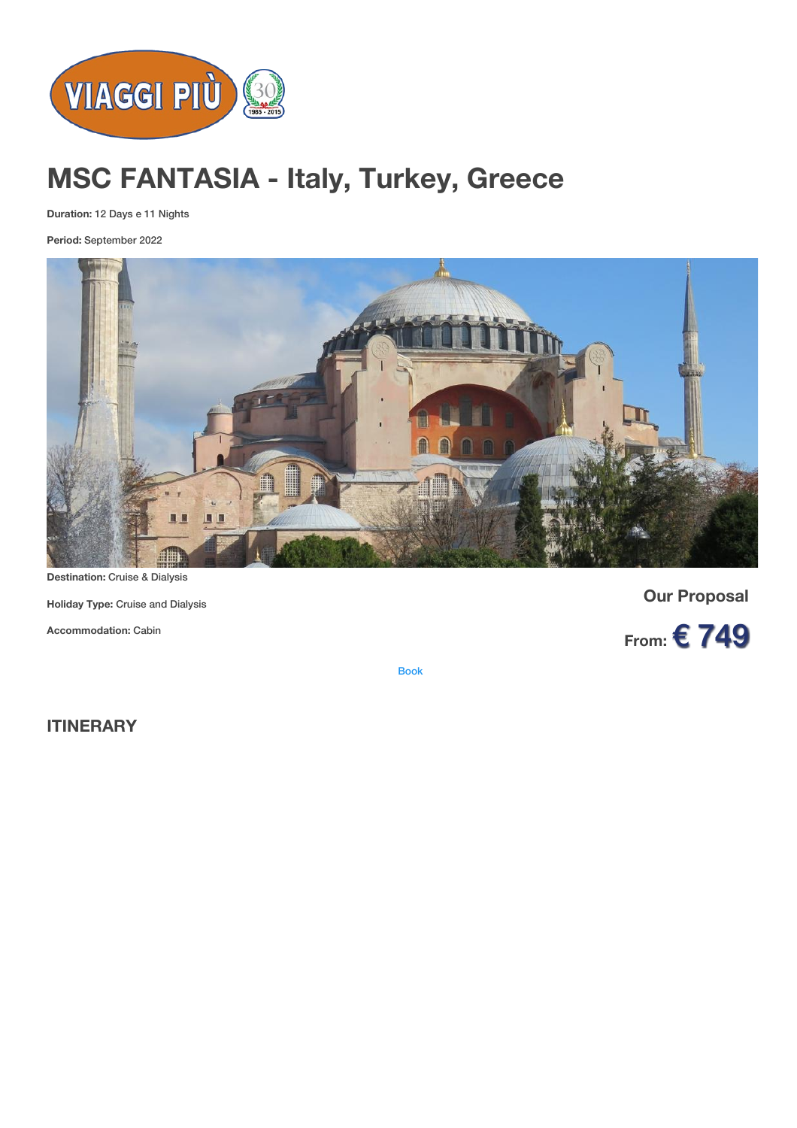

# **MSC FANTASIA - Italy, Turkey, Greece**

**Duration:** 12 Days e 11 Nights

**Period:** September 2022



**Destination:** Cruise & Dialysis

**Holiday Type:** Cruise and Dialysis

**Accommodation:** Cabin

**Our Proposal**



[Book](https://viaggipiu.eu/index.php?option=com_offerte&view=info&id=2011&modello=offerta)

**ITINERARY**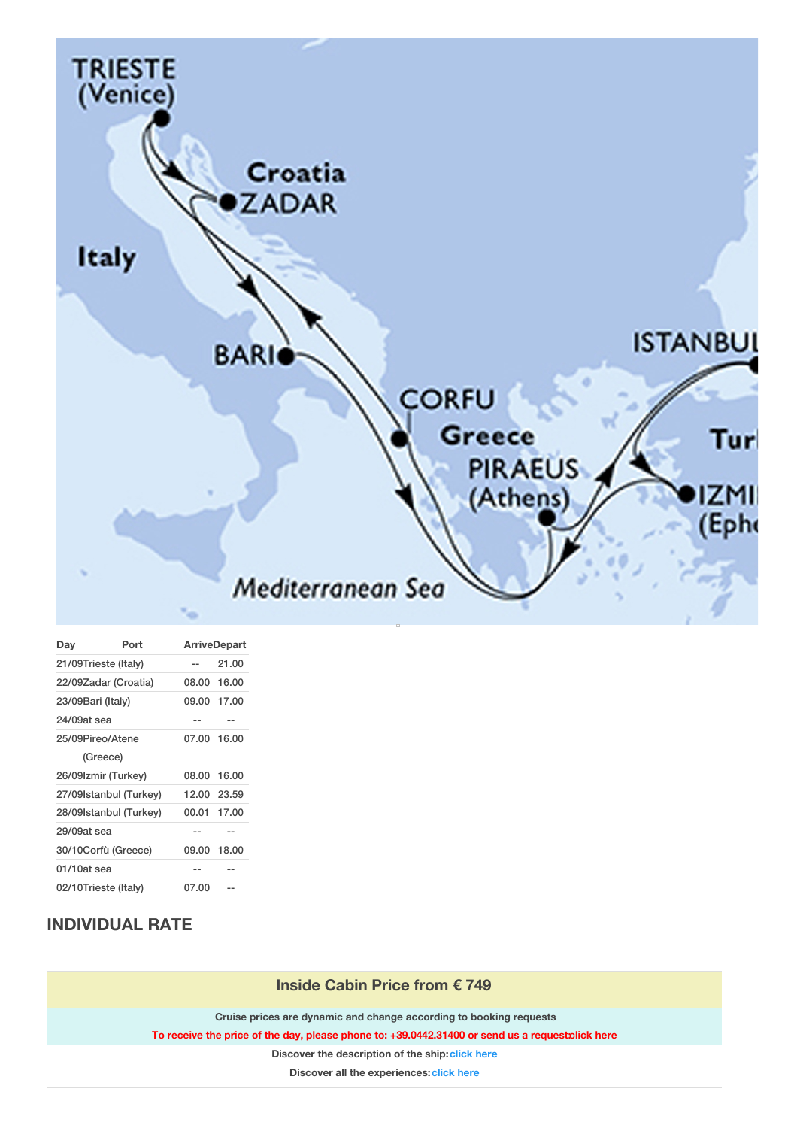

| Day                    | Port             | <b>ArriveDepart</b> |             |
|------------------------|------------------|---------------------|-------------|
| 21/09Trieste (Italy)   |                  | --                  | 21.00       |
| 22/09Zadar (Croatia)   |                  |                     | 08.00 16.00 |
| 23/09Bari (Italy)      |                  |                     | 09.00 17.00 |
| 24/09at sea            |                  | --                  | --          |
|                        | 25/09Pireo/Atene |                     | 07.00 16.00 |
|                        | (Greece)         |                     |             |
| 26/09Izmir (Turkey)    |                  |                     | 08.00 16.00 |
| 27/09Istanbul (Turkey) |                  |                     | 12.00 23.59 |
| 28/09Istanbul (Turkey) |                  | 00.01               | 17.00       |
| 29/09at sea            |                  |                     |             |
| 30/10Corfù (Greece)    |                  |                     | 09.00 18.00 |
| 01/10at sea            |                  | --                  | --          |
| 02/10Trieste (Italy)   |                  | 07.00               |             |

## **INDIVIDUAL RATE**

| Inside Cabin Price from € 749                                                                    |  |  |  |
|--------------------------------------------------------------------------------------------------|--|--|--|
| Cruise prices are dynamic and change according to booking requests                               |  |  |  |
| To receive the price of the day, please phone to: +39.0442.31400 or send us a request click here |  |  |  |
| Discover the description of the ship: click here                                                 |  |  |  |
| Discover all the experiences: click here                                                         |  |  |  |
|                                                                                                  |  |  |  |